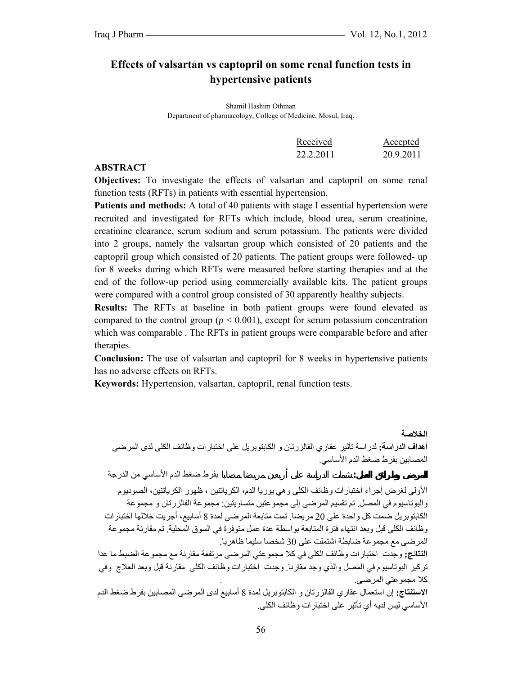**الخلاصة** 

# **Effects of valsartan vs captopril on some renal function tests in hypertensive patients**

Shamil Hashim Othman Department of pharmacology, College of Medicine, Mosul, Iraq.

| Received  | Accepted  |
|-----------|-----------|
| 22.2.2011 | 20.9.2011 |

#### **ABSTRACT**

**Objectives:** To investigate the effects of valsartan and captopril on some renal function tests (RFTs) in patients with essential hypertension.

Patients and methods: A total of 40 patients with stage I essential hypertension were recruited and investigated for RFTs which include, blood urea, serum creatinine, creatinine clearance, serum sodium and serum potassium. The patients were divided into 2 groups, namely the valsartan group which consisted of 20 patients and the captopril group which consisted of 20 patients. The patient groups were followed- up for 8 weeks during which RFTs were measured before starting therapies and at the end of the follow-up period using commercially available kits. The patient groups were compared with a control group consisted of 30 apparently healthy subjects.

**Results:** The RFTs at baseline in both patient groups were found elevated as compared to the control group ( $p < 0.001$ ), except for serum potassium concentration which was comparable . The RFTs in patient groups were comparable before and after therapies.

**Conclusion:** The use of valsartan and captopril for 8 weeks in hypertensive patients has no adverse effects on RFTs.

**Keywords:** Hypertension, valsartan, captopril, renal function tests.

**أهداف الدراسة:** لدراسة تأثير عقاري الفالزرتان و الكابتوبريل على اختبارات وظائف الكلى لدى المرضى المصابين بفرط ضغط الدم الأساسي.

**المرض وطرائق العمل:** شملت الدراسة على أربعين مريضا مصابا بفرط ضغط الدم الأساسي من الدرجة

الأولى لغرض إجراء اختبارات وظائف الكلى وهي يوريا الدم، الكرياتنين ، ظهور الكرياتنين، الصوديوم والبوتاسيوم في المصل. تم تقسيم المرضى إلى مجموعتين متساويتين: مجموعة الفالزرتان و مجموعة الكابتوبريل ضمت كل واحدة على 20 مريضا. تمت متابعة المرضى لمدة 8 أسابيع، أجريت خلالها اختبارات وظائف الكلى قبل وبعد انتهاء فترة المتابعة بواسطة عدة عمل متوفرة في السوق المحلية. تم مقارنة مجموعة المرضى مع مجموعة ضابطة اشتملت على 30 شخصا سليما ظاهريا.

**النتائج:** وجدت اختبارات وظائف الكلى في آلا مجموعتي المرضى مرتفعة مقارنة مع مجموعة الضبط ما عدا ترآيز البوتاسيوم في المصل والذي وجد مقارنا. وجدت اختبارات وظائف الكلى مقارنة قبل وبعد العلاج وفي كلا مجموعتي المرضى.

**الاستنتاج:** إن استعمال عقاري الفالزرتان و الكابتوبريل لمدة 8 أسابيع لدى المرضى المصابين بفرط ضغط الدم الأساسي ليس لديه أي تأثير على اختبارات وظائف الكلى.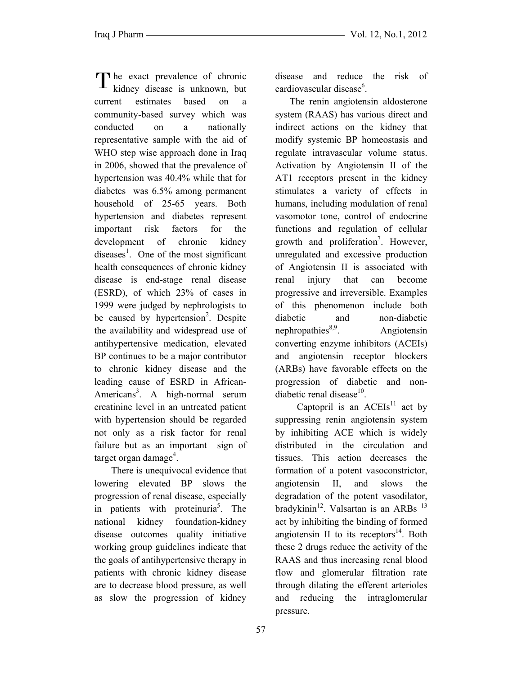The exact prevalence of chronic<br>kidney disease is unknown, but kidney disease is unknown, but current estimates based on a community-based survey which was conducted on a nationally representative sample with the aid of WHO step wise approach done in Iraq in 2006, showed that the prevalence of hypertension was 40.4% while that for diabetes was 6.5% among permanent household of 25-65 years. Both hypertension and diabetes represent important risk factors for the development of chronic kidney diseases<sup>1</sup>. One of the most significant health consequences of chronic kidney disease is end-stage renal disease (ESRD), of which 23% of cases in 1999 were judged by nephrologists to be caused by hypertension<sup>2</sup>. Despite the availability and widespread use of antihypertensive medication, elevated BP continues to be a major contributor to chronic kidney disease and the leading cause of ESRD in African-Americans<sup>3</sup>. A high-normal serum creatinine level in an untreated patient with hypertension should be regarded not only as a risk factor for renal failure but as an important sign of target organ damage<sup>4</sup>.

 There is unequivocal evidence that lowering elevated BP slows the progression of renal disease, especially in patients with proteinuria<sup>5</sup>. The national kidney foundation-kidney disease outcomes quality initiative working group guidelines indicate that the goals of antihypertensive therapy in patients with chronic kidney disease are to decrease blood pressure, as well as slow the progression of kidney

disease and reduce the risk of cardiovascular disease<sup>6</sup>.

 The renin angiotensin aldosterone system (RAAS) has various direct and indirect actions on the kidney that modify systemic BP homeostasis and regulate intravascular volume status. Activation by Angiotensin II of the AT1 receptors present in the kidney stimulates a variety of effects in humans, including modulation of renal vasomotor tone, control of endocrine functions and regulation of cellular growth and proliferation<sup>7</sup>. However, unregulated and excessive production of Angiotensin II is associated with renal injury that can become progressive and irreversible. Examples of this phenomenon include both diabetic and non-diabetic nephropathies $8.9$ . Angiotensin converting enzyme inhibitors (ACEIs) and angiotensin receptor blockers (ARBs) have favorable effects on the progression of diabetic and nondiabetic renal disease $10$ .

Captopril is an  $ACEIs<sup>11</sup>$  act by suppressing renin angiotensin system by inhibiting ACE which is widely distributed in the circulation and tissues. This action decreases the formation of a potent vasoconstrictor, angiotensin II, and slows the degradation of the potent vasodilator, bradykinin<sup>12</sup>. Valsartan is an ARBs  $^{13}$ act by inhibiting the binding of formed angiotensin II to its receptors $^{14}$ . Both these 2 drugs reduce the activity of the RAAS and thus increasing renal blood flow and glomerular filtration rate through dilating the efferent arterioles and reducing the intraglomerular pressure.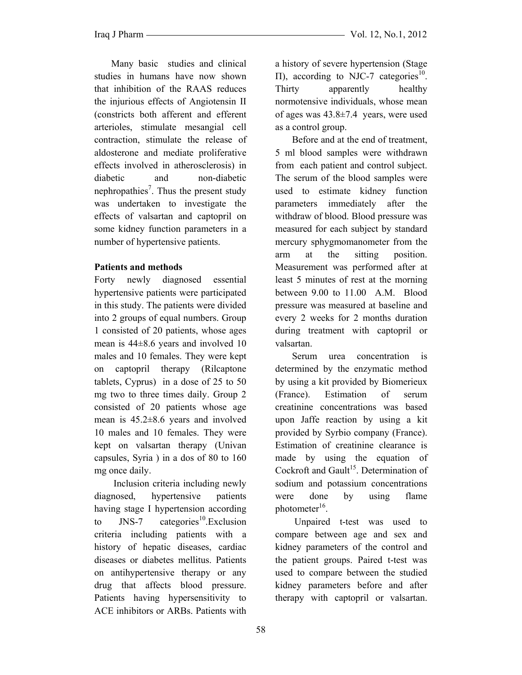Many basic studies and clinical studies in humans have now shown that inhibition of the RAAS reduces the injurious effects of Angiotensin II (constricts both afferent and efferent arterioles, stimulate mesangial cell contraction, stimulate the release of aldosterone and mediate proliferative effects involved in atherosclerosis) in diabetic and non-diabetic nephropathies<sup>7</sup>. Thus the present study was undertaken to investigate the effects of valsartan and captopril on some kidney function parameters in a number of hypertensive patients.

### **Patients and methods**

Forty newly diagnosed essential hypertensive patients were participated in this study. The patients were divided into 2 groups of equal numbers. Group 1 consisted of 20 patients, whose ages mean is 44±8.6 years and involved 10 males and 10 females. They were kept on captopril therapy (Rilcaptone tablets, Cyprus) in a dose of 25 to 50 mg two to three times daily. Group 2 consisted of 20 patients whose age mean is 45.2±8.6 years and involved 10 males and 10 females. They were kept on valsartan therapy (Univan capsules, Syria ) in a dos of 80 to 160 mg once daily.

 Inclusion criteria including newly diagnosed, hypertensive patients having stage I hypertension according to JNS-7 categories<sup>10</sup>.Exclusion criteria including patients with a history of hepatic diseases, cardiac diseases or diabetes mellitus. Patients on antihypertensive therapy or any drug that affects blood pressure. Patients having hypersensitivity to ACE inhibitors or ARBs. Patients with

a history of severe hypertension (Stage Π), according to NJC-7 categories<sup>10</sup>. Thirty apparently healthy normotensive individuals, whose mean of ages was 43.8±7.4 years, were used as a control group.

 Before and at the end of treatment, 5 ml blood samples were withdrawn from each patient and control subject. The serum of the blood samples were used to estimate kidney function parameters immediately after the withdraw of blood. Blood pressure was measured for each subject by standard mercury sphygmomanometer from the arm at the sitting position. Measurement was performed after at least 5 minutes of rest at the morning between 9.00 to 11.00 A.M. Blood pressure was measured at baseline and every 2 weeks for 2 months duration during treatment with captopril or valsartan.

 Serum urea concentration is determined by the enzymatic method by using a kit provided by Biomerieux (France). Estimation of serum creatinine concentrations was based upon Jaffe reaction by using a kit provided by Syrbio company (France). Estimation of creatinine clearance is made by using the equation of Cockroft and Gault<sup>15</sup>. Determination of sodium and potassium concentrations were done by using flame photometer $16$ .

Unpaired t-test was used to compare between age and sex and kidney parameters of the control and the patient groups. Paired t-test was used to compare between the studied kidney parameters before and after therapy with captopril or valsartan.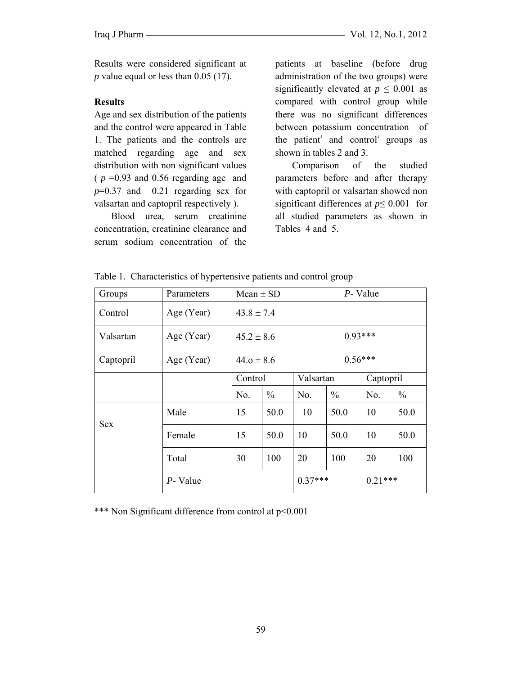Results were considered significant at *p* value equal or less than 0.05 (17).

#### **Results**

Age and sex distribution of the patients and the control were appeared in Table 1. The patients and the controls are matched regarding age and sex distribution with non significant values  $(p = 0.93$  and 0.56 regarding age and *p*=0.37 and 0.21 regarding sex for valsartan and captopril respectively ).

 Blood urea, serum creatinine concentration, creatinine clearance and serum sodium concentration of the patients at baseline (before drug administration of the two groups) were significantly elevated at  $p \leq 0.001$  as compared with control group while there was no significant differences between potassium concentration of the patient' and control' groups as shown in tables 2 and 3.

 Comparison of the studied parameters before and after therapy with captopril or valsartan showed non significant differences at *p*≤ 0.001 for all studied parameters as shown in Tables 4 and 5.

| Groups     | Parameters | Mean $\pm$ SD  |               |           | P- Value      |           |           |               |
|------------|------------|----------------|---------------|-----------|---------------|-----------|-----------|---------------|
| Control    | Age (Year) | $43.8 \pm 7.4$ |               |           |               |           |           |               |
| Valsartan  | Age (Year) | $45.2 \pm 8.6$ |               |           |               | $0.93***$ |           |               |
| Captopril  | Age (Year) | $44.0 \pm 8.6$ |               |           | $0.56***$     |           |           |               |
|            |            | Control        |               | Valsartan |               |           | Captopril |               |
|            |            | No.            | $\frac{0}{0}$ | No.       | $\frac{0}{0}$ |           | No.       | $\frac{0}{0}$ |
| <b>Sex</b> | Male       | 15             | 50.0          | 10        | 50.0          |           | 10        | 50.0          |
|            | Female     | 15             | 50.0          | 10        | 50.0          |           | 10        | 50.0          |
|            | Total      | 30             | 100           | 20        | 100           |           | 20        | 100           |
|            | P- Value   |                |               | $0.37***$ |               | $0.21***$ |           |               |

Table 1. Characteristics of hypertensive patients and control group

\*\*\* Non Significant difference from control at  $p<0.001$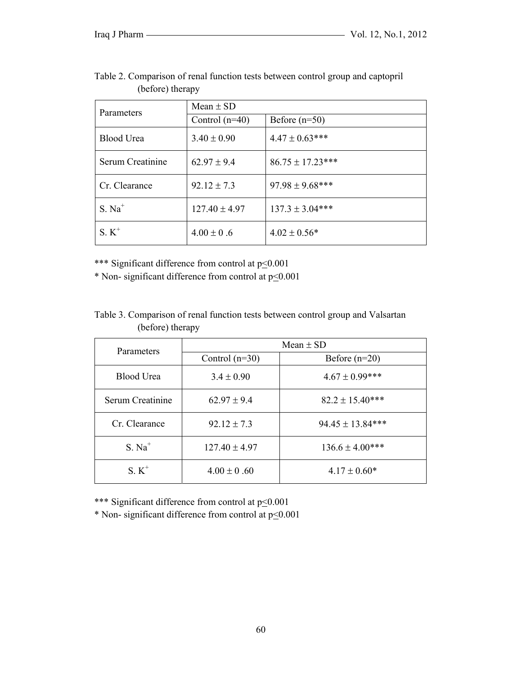| Parameters       | Mean $\pm$ SD     |                       |  |  |  |
|------------------|-------------------|-----------------------|--|--|--|
|                  | Control $(n=40)$  | Before $(n=50)$       |  |  |  |
| Blood Urea       | $3.40 \pm 0.90$   | $4.47 \pm 0.63$ ***   |  |  |  |
| Serum Creatinine | $62.97 \pm 9.4$   | $86.75 \pm 17.23$ *** |  |  |  |
| Cr. Clearance    | $92.12 \pm 7.3$   | $97.98 \pm 9.68$ ***  |  |  |  |
| $S. Na+$         | $127.40 \pm 4.97$ | $137.3 \pm 3.04***$   |  |  |  |
| $S_K^+$          | $4.00 \pm 0.6$    | $4.02 \pm 0.56*$      |  |  |  |

Table 2. Comparison of renal function tests between control group and captopril (before) therapy

\*\*\* Significant difference from control at  $p<0.001$ 

\* Non- significant difference from control at  $p \le 0.001$ 

## Table 3. Comparison of renal function tests between control group and Valsartan (before) therapy

| Parameters        | Mean $\pm$ SD     |                      |  |  |  |
|-------------------|-------------------|----------------------|--|--|--|
|                   | Control $(n=30)$  | Before $(n=20)$      |  |  |  |
| <b>Blood Urea</b> | $3.4 \pm 0.90$    | $4.67 \pm 0.99$ ***  |  |  |  |
| Serum Creatinine  | $62.97 \pm 9.4$   | $82.2 \pm 15.40***$  |  |  |  |
| Cr. Clearance     | $92.12 \pm 7.3$   | $94.45 \pm 13.84***$ |  |  |  |
| $S. Na+$          | $127.40 \pm 4.97$ | $136.6 \pm 4.00$ *** |  |  |  |
| $S. K^+$          | $4.00 \pm 0.60$   | $4.17 \pm 0.60*$     |  |  |  |

\*\*\* Significant difference from control at  $p<0.001$ 

\* Non- significant difference from control at  $p \le 0.001$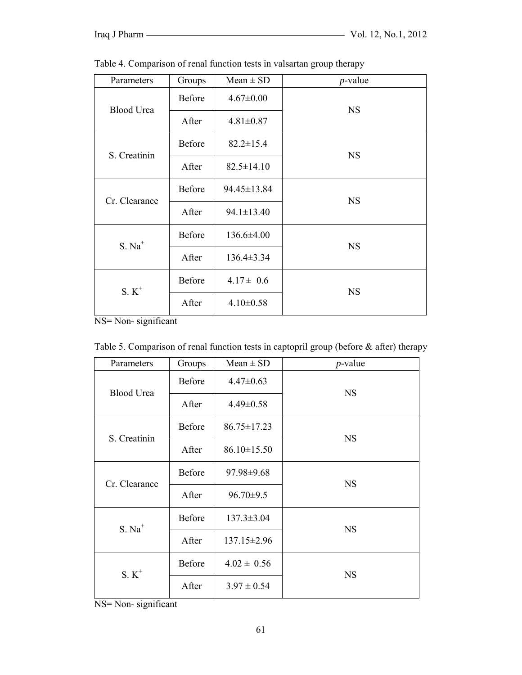| Parameters        | Groups | $Mean \pm SD$    | $p$ -value |
|-------------------|--------|------------------|------------|
| <b>Blood Urea</b> | Before | $4.67 \pm 0.00$  | <b>NS</b>  |
|                   | After  | $4.81 \pm 0.87$  |            |
| S. Creatinin      | Before | $82.2 \pm 15.4$  | <b>NS</b>  |
|                   | After  | $82.5 \pm 14.10$ |            |
| Cr. Clearance     | Before | 94.45±13.84      | <b>NS</b>  |
|                   | After  | $94.1 \pm 13.40$ |            |
| $S. Na+$          | Before | $136.6 \pm 4.00$ | <b>NS</b>  |
|                   | After  | $136.4 \pm 3.34$ |            |
| $S. K^+$          | Before | $4.17 \pm 0.6$   | <b>NS</b>  |
|                   | After  | $4.10 \pm 0.58$  |            |

Table 4. Comparison of renal function tests in valsartan group therapy

NS= Non- significant

| Parameters        | Groups        | $Mean \pm SD$     | $p$ -value |  |
|-------------------|---------------|-------------------|------------|--|
| <b>Blood Urea</b> | Before        | $4.47 \pm 0.63$   | <b>NS</b>  |  |
|                   | After         | $4.49 \pm 0.58$   |            |  |
| S. Creatinin      | Before        | $86.75 \pm 17.23$ | <b>NS</b>  |  |
|                   | After         | $86.10 \pm 15.50$ |            |  |
| Cr. Clearance     | Before        | 97.98±9.68        | <b>NS</b>  |  |
|                   | After         | $96.70 \pm 9.5$   |            |  |
| $S. Na+$          | <b>Before</b> | $137.3 \pm 3.04$  | <b>NS</b>  |  |
|                   | After         | $137.15 \pm 2.96$ |            |  |
| $S. K^+$          | <b>Before</b> | $4.02 \pm 0.56$   | <b>NS</b>  |  |
|                   | After         | $3.97 \pm 0.54$   |            |  |

| Table 5. Comparison of renal function tests in captopril group (before $\&$ after) therapy |  |  |  |  |
|--------------------------------------------------------------------------------------------|--|--|--|--|
|                                                                                            |  |  |  |  |

NS= Non- significant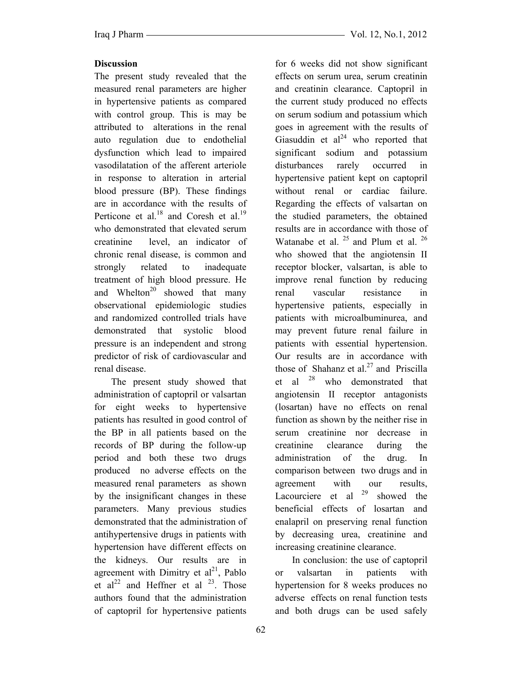## **Discussion**

The present study revealed that the measured renal parameters are higher in hypertensive patients as compared with control group. This is may be attributed to alterations in the renal auto regulation due to endothelial dysfunction which lead to impaired vasodilatation of the afferent arteriole in response to alteration in arterial blood pressure (BP). These findings are in accordance with the results of Perticone et al.<sup>18</sup> and Coresh et al.<sup>19</sup> who demonstrated that elevated serum creatinine level, an indicator of chronic renal disease, is common and strongly related to inadequate treatment of high blood pressure. He and Whelton<sup>20</sup> showed that many observational epidemiologic studies and randomized controlled trials have demonstrated that systolic blood pressure is an independent and strong predictor of risk of cardiovascular and renal disease.

 The present study showed that administration of captopril or valsartan for eight weeks to hypertensive patients has resulted in good control of the BP in all patients based on the records of BP during the follow-up period and both these two drugs produced no adverse effects on the measured renal parameters as shown by the insignificant changes in these parameters. Many previous studies demonstrated that the administration of antihypertensive drugs in patients with hypertension have different effects on the kidneys. Our results are in agreement with Dimitry et  $al^{21}$ , Pablo et  $al^{22}$  and Heffner et al  $23$ . Those authors found that the administration of captopril for hypertensive patients

for 6 weeks did not show significant effects on serum urea, serum creatinin and creatinin clearance. Captopril in the current study produced no effects on serum sodium and potassium which goes in agreement with the results of Giasuddin et  $al<sup>24</sup>$  who reported that significant sodium and potassium disturbances rarely occurred in hypertensive patient kept on captopril without renal or cardiac failure. Regarding the effects of valsartan on the studied parameters, the obtained results are in accordance with those of Watanabe et al. <sup>25</sup> and Plum et al. <sup>26</sup> who showed that the angiotensin II receptor blocker, valsartan, is able to improve renal function by reducing renal vascular resistance in hypertensive patients, especially in patients with microalbuminurea, and may prevent future renal failure in patients with essential hypertension. Our results are in accordance with those of Shahanz et al.<sup>27</sup> and Priscilla et al  $28$  who demonstrated that angiotensin II receptor antagonists (losartan) have no effects on renal function as shown by the neither rise in serum creatinine nor decrease in creatinine clearance during the administration of the drug. In comparison between two drugs and in agreement with our results, Lacourciere et al  $29$  showed the beneficial effects of losartan and enalapril on preserving renal function by decreasing urea, creatinine and increasing creatinine clearance.

 In conclusion: the use of captopril or valsartan in patients with hypertension for 8 weeks produces no adverse effects on renal function tests and both drugs can be used safely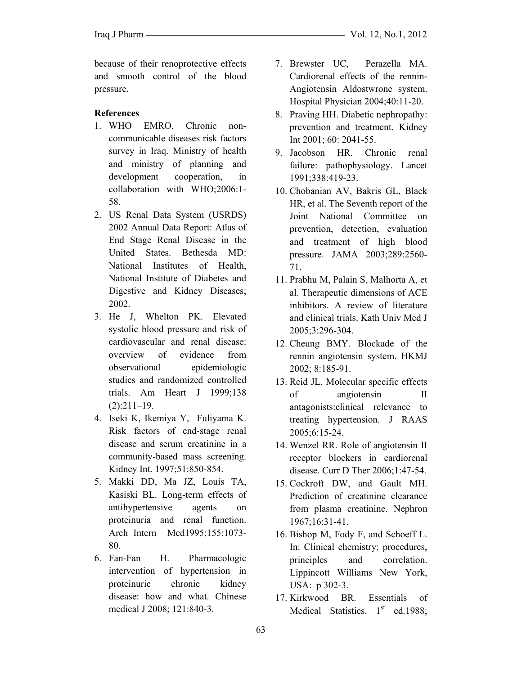because of their renoprotective effects and smooth control of the blood pressure.

#### **References**

- 1. WHO EMRO. Chronic noncommunicable diseases risk factors survey in Iraq. Ministry of health and ministry of planning and development cooperation, in collaboration with WHO;2006:1- 58.
- 2. US Renal Data System (USRDS) 2002 Annual Data Report: Atlas of End Stage Renal Disease in the United States. Bethesda MD: National Institutes of Health, National Institute of Diabetes and Digestive and Kidney Diseases; 2002.
- 3. He J, Whelton PK. Elevated systolic blood pressure and risk of cardiovascular and renal disease: overview of evidence from observational epidemiologic studies and randomized controlled trials. Am Heart J 1999;138  $(2):211-19.$
- 4. Iseki K, Ikemiya Y, Fuliyama K. Risk factors of end-stage renal disease and serum creatinine in a community-based mass screening. Kidney Int*.* 1997;51:850-854.
- 5. Makki DD, Ma JZ, Louis TA, Kasiski BL. Long-term effects of antihypertensive agents on proteinuria and renal function. Arch Intern Med1995;155:1073- 80.
- 6. Fan-Fan H. Pharmacologic intervention of hypertension in proteinuric chronic kidney disease: how and what. Chinese medical J 2008; 121:840-3.
- 7. Brewster UC, Perazella MA. Cardiorenal effects of the rennin-Angiotensin Aldostwrone system. Hospital Physician 2004;40:11-20.
- 8. Praving HH. Diabetic nephropathy: prevention and treatment. Kidney Int 2001; 60: 2041-55.
- 9. Jacobson HR. Chronic renal failure: pathophysiology. Lancet 1991;338:419-23.
- 10. Chobanian AV, Bakris GL, Black HR, et al. The Seventh report of the Joint National Committee on prevention, detection, evaluation and treatment of high blood pressure. JAMA 2003;289:2560- 71.
- 11. Prabhu M, Palain S, Malhorta A, et al. Therapeutic dimensions of ACE inhibitors. A review of literature and clinical trials. Kath Univ Med J 2005;3:296-304.
- 12. Cheung BMY. Blockade of the rennin angiotensin system. HKMJ 2002; 8:185-91.
- 13. Reid JL. Molecular specific effects of angiotensin II antagonists:clinical relevance to treating hypertension. J RAAS 2005;6:15-24.
- 14. Wenzel RR. Role of angiotensin II receptor blockers in cardiorenal disease. Curr D Ther 2006;1:47-54.
- 15. Cockroft DW, and Gault MH. Prediction of creatinine clearance from plasma creatinine. Nephron 1967;16:31-41.
- 16. Bishop M, Fody F, and Schoeff L. In: Clinical chemistry: procedures, principles and correlation. Lippincott Williams New York, USA: p 302-3.
- 17. Kirkwood BR. Essentials of Medical Statistics.  $1<sup>st</sup>$  ed.1988;